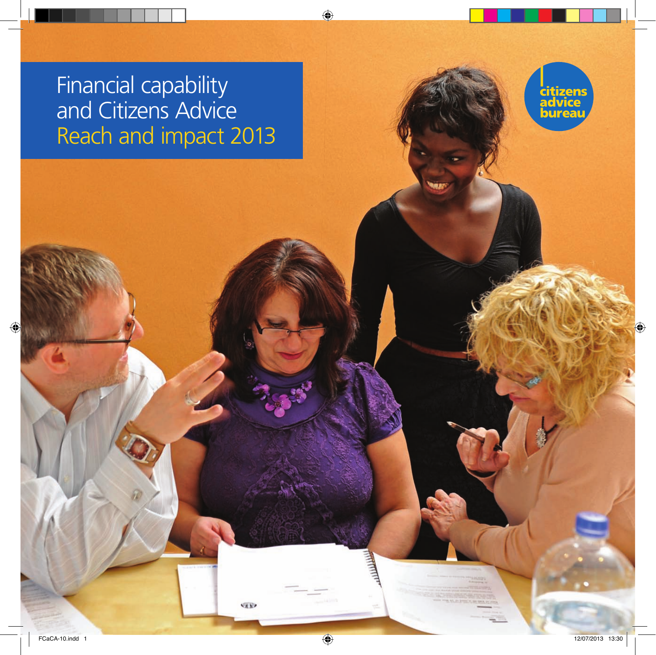Financial capability and Citizens Advice Reach and impact 2013

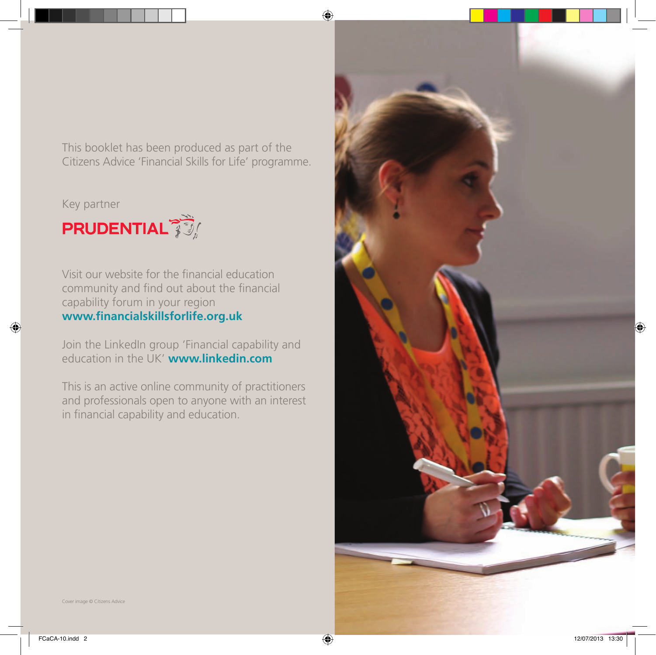This booklet has been produced as part of the Citizens Advice 'Financial Skills for Life' programme.

Key partner



Visit our website for the financial education community and find out about the financial capability forum in your region **www.financialskillsforlife.org.uk**

Join the LinkedIn group 'Financial capability and education in the UK' **www.linkedin.com**

This is an active online community of practitioners and professionals open to anyone with an interest in financial capability and education.

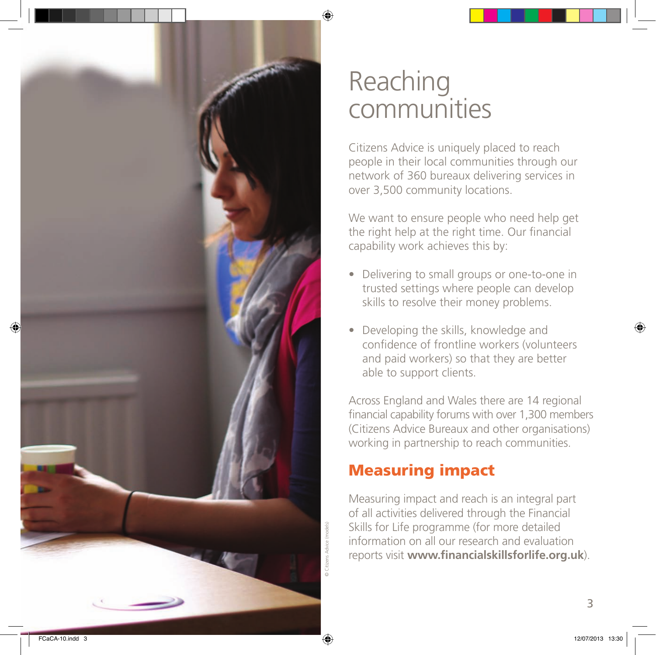

## Reaching communities

Citizens Advice is uniquely placed to reach people in their local communities through our network of 360 bureaux delivering services in over 3,500 community locations.

We want to ensure people who need help get the right help at the right time. Our financial capability work achieves this by:

- Delivering to small groups or one-to-one in trusted settings where people can develop skills to resolve their money problems.
- Developing the skills, knowledge and confidence of frontline workers (volunteers and paid workers) so that they are better able to support clients.

Across England and Wales there are 14 regional financial capability forums with over 1,300 members (Citizens Advice Bureaux and other organisations) working in partnership to reach communities.

### Measuring impact

Measuring impact and reach is an integral part of all activities delivered through the Financial Skills for Life programme (for more detailed information on all our research and evaluation reports visit **www.financialskillsforlife.org.uk**).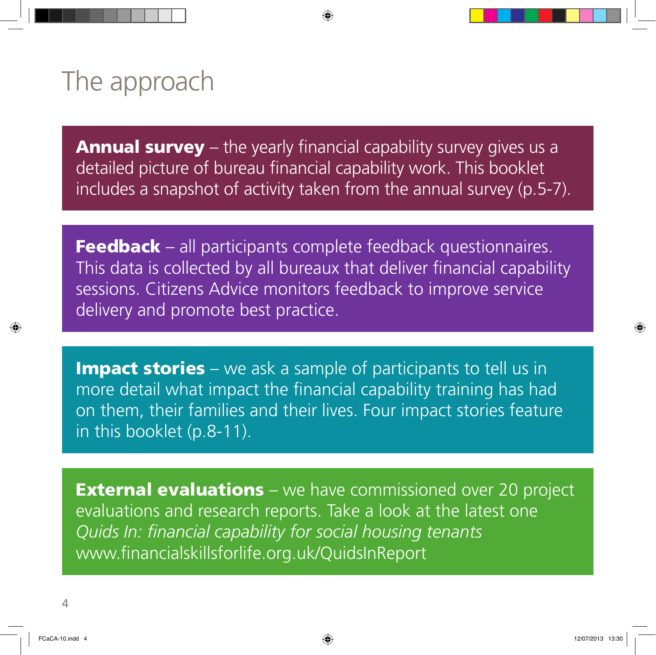# The approach

**Annual survey** – the yearly financial capability survey gives us a detailed picture of bureau financial capability work. This booklet includes a snapshot of activity taken from the annual survey (p.5-7).

Feedback – all participants complete feedback questionnaires. This data is collected by all bureaux that deliver financial capability sessions. Citizens Advice monitors feedback to improve service delivery and promote best practice.

**Impact stories** – we ask a sample of participants to tell us in more detail what impact the financial capability training has had on them, their families and their lives. Four impact stories feature in this booklet (p.8-11).

**External evaluations** – we have commissioned over 20 project evaluations and research reports. Take a look at the latest one *Quids In: financial capability for social housing tenants*  www.financialskillsforlife.org.uk/QuidsInReport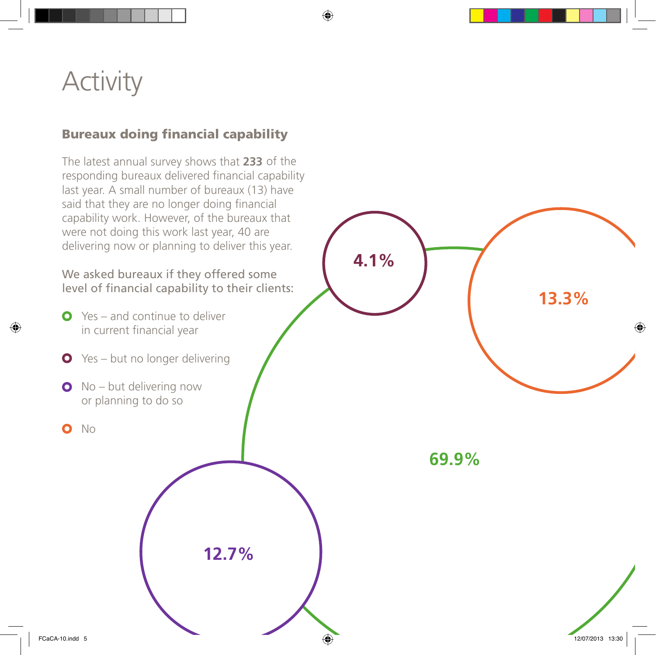## **Activity**

### Bureaux doing financial capability

The latest annual survey shows that **233**  of the responding bureaux delivered financial capability last year. A small number of bureaux (13) have said that they are no longer doing financial capability work. However, of the bureaux that were not doing this work last year, 40 are delivering now or planning to deliver this year.

We asked bureaux if they offered some level of financial capability to their clients:

- **O** Yes and continue to deliver in current financial year
- **O** Yes but no longer delivering
- **O** No but delivering now or planning to do so
- No  $\bullet$

**12.7%**

**69.9%**

**4.1%**

**13.3%**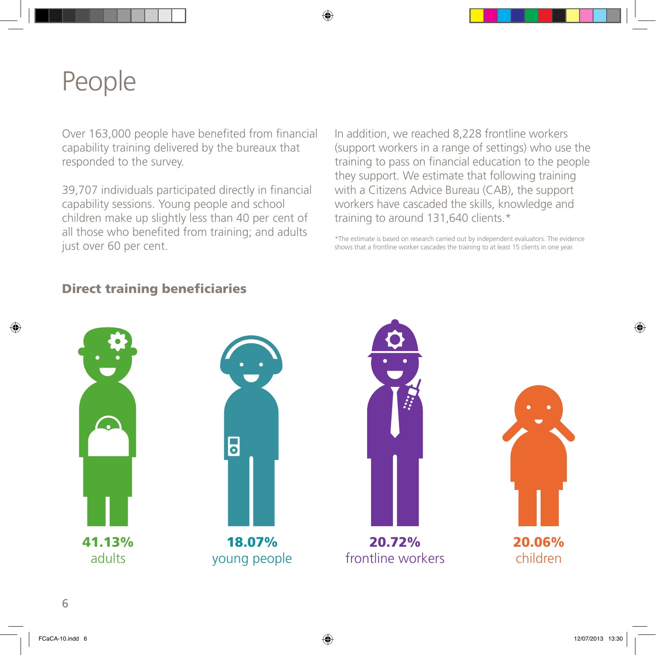# People

Over 163,000 people have benefited from financial capability training delivered by the bureaux that responded to the survey.

39,707 individuals participated directly in financial capability sessions. Young people and school children make up slightly less than 40 per cent of training to around 131,640 clients. $*$ all those who benefited from training; and adults just over 60 per cent.

In addition, we reached 8,228 frontline workers (support workers in a range of settings) who use the training to pass on financial education to the people they support. We estimate that following training with a Citizens Advice Bureau (CAB), the support workers have cascaded the skills, knowledge and

\*The estimate is based on research carried out by independent evaluators. The evidence shows that a frontline worker cascades the training to at least 15 clients in one year.

#### Direct training beneficiaries









20.72% frontline workers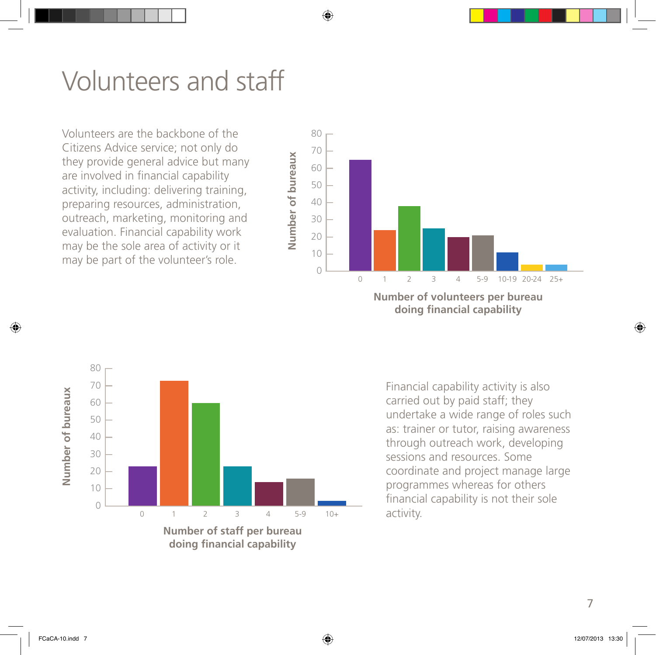## Volunteers and staff

may be the send the volunteer's role. evaluation. Financial capability work 30 outreach, marketing, monitoring and preparing resources, administration, activity, including: delivering training, are involved in financial capability 70 Citizens Advice service; not only do Volunteers are the backbone of the they provide general advice but many may be the sole area of activity or it



**doing financial capability** 



**doing financial capability** 

Financial capability activity is also carried out by paid staff; they undertake a wide range of roles such as: trainer or tutor, raising awareness through outreach work, developing sessions and resources. Some coordinate and project manage large programmes whereas for others financial capability is not their sole activity.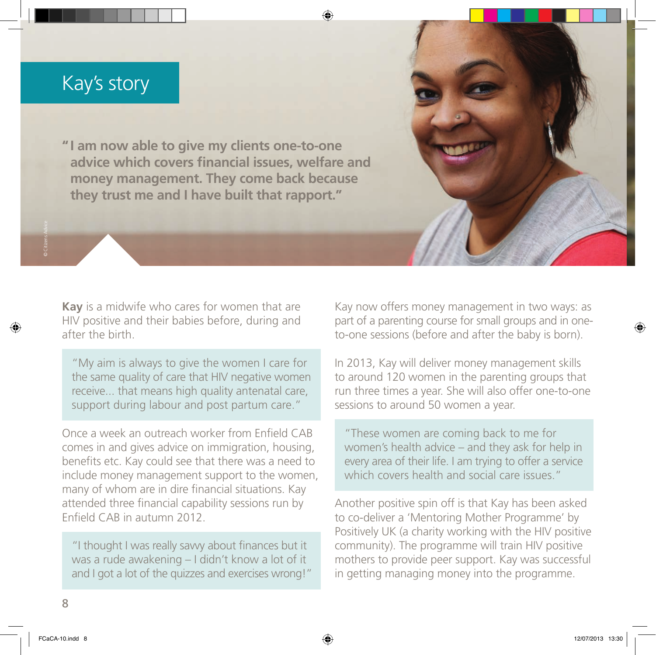### Kay's story

**" I am now able to give my clients one-to-one advice which covers financial issues, welfare and money management. They come back because they trust me and I have built that rapport."**

**Kay** is a midwife who cares for women that are HIV positive and their babies before, during and after the birth.

"My aim is always to give the women I care for the same quality of care that HIV negative women receive... that means high quality antenatal care, support during labour and post partum care."

Once a week an outreach worker from Enfield CAB comes in and gives advice on immigration, housing, benefits etc. Kay could see that there was a need to include money management support to the women, many of whom are in dire financial situations. Kay attended three financial capability sessions run by Enfield CAB in autumn 2012.

"I thought I was really savvy about finances but it was a rude awakening – I didn't know a lot of it and I got a lot of the quizzes and exercises wrong!" Kay now offers money management in two ways: as part of a parenting course for small groups and in oneto-one sessions (before and after the baby is born).

In 2013, Kay will deliver money management skills to around 120 women in the parenting groups that run three times a year. She will also offer one-to-one sessions to around 50 women a year.

"These women are coming back to me for women's health advice – and they ask for help in every area of their life. I am trying to offer a service which covers health and social care issues."

Another positive spin off is that Kay has been asked to co-deliver a 'Mentoring Mother Programme' by Positively UK (a charity working with the HIV positive community). The programme will train HIV positive mothers to provide peer support. Kay was successful in getting managing money into the programme.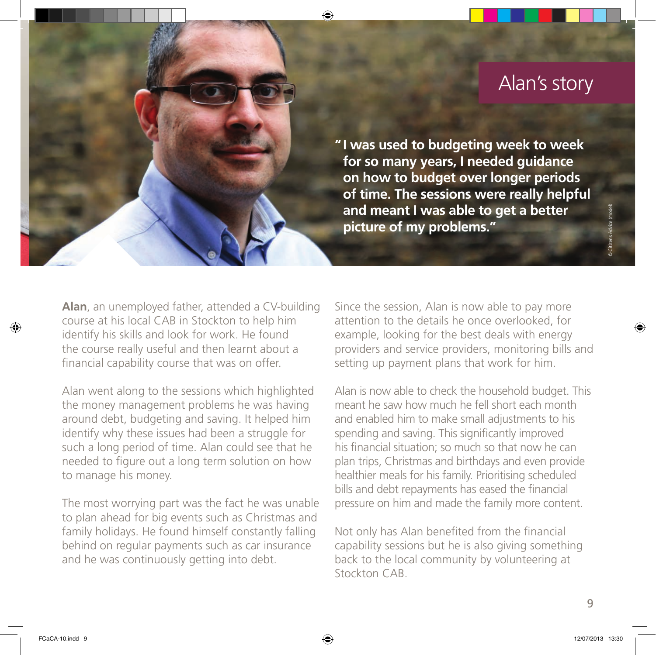## Alan's story

**" I was used to budgeting week to week for so many years, I needed guidance on how to budget over longer periods of time. The sessions were really helpful and meant I was able to get a better picture of my problems."**

Alan, an unemployed father, attended a CV-building course at his local CAB in Stockton to help him identify his skills and look for work. He found the course really useful and then learnt about a financial capability course that was on offer.

Alan went along to the sessions which highlighted the money management problems he was having around debt, budgeting and saving. It helped him identify why these issues had been a struggle for such a long period of time. Alan could see that he needed to figure out a long term solution on how to manage his money.

The most worrying part was the fact he was unable to plan ahead for big events such as Christmas and family holidays. He found himself constantly falling behind on regular payments such as car insurance and he was continuously getting into debt.

Since the session, Alan is now able to pay more attention to the details he once overlooked, for example, looking for the best deals with energy providers and service providers, monitoring bills and setting up payment plans that work for him.

Alan is now able to check the household budget. This meant he saw how much he fell short each month and enabled him to make small adjustments to his spending and saving. This significantly improved his financial situation; so much so that now he can plan trips, Christmas and birthdays and even provide healthier meals for his family. Prioritising scheduled bills and debt repayments has eased the financial pressure on him and made the family more content.

Not only has Alan benefited from the financial capability sessions but he is also giving something back to the local community by volunteering at Stockton CAB.

© Citizens Advice (model)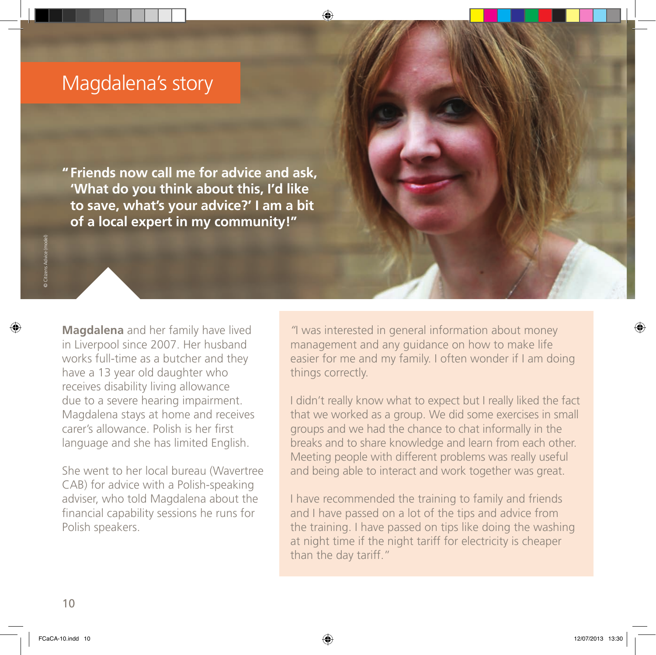### Magdalena's story

**" Friends now call me for advice and ask, 'What do you think about this, I'd like to save, what's your advice?' I am a bit of a local expert in my community!"**

**Magdalena** and her family have lived in Liverpool since 2007. Her husband works full-time as a butcher and they have a 13 year old daughter who receives disability living allowance due to a severe hearing impairment. Magdalena stays at home and receives carer's allowance. Polish is her first language and she has limited English.

She went to her local bureau (Wavertree CAB) for advice with a Polish-speaking adviser, who told Magdalena about the financial capability sessions he runs for Polish speakers.

*"*I was interested in general information about money management and any guidance on how to make life easier for me and my family. I often wonder if I am doing things correctly.

I didn't really know what to expect but I really liked the fact that we worked as a group. We did some exercises in small groups and we had the chance to chat informally in the breaks and to share knowledge and learn from each other. Meeting people with different problems was really useful and being able to interact and work together was great.

I have recommended the training to family and friends and I have passed on a lot of the tips and advice from the training. I have passed on tips like doing the washing at night time if the night tariff for electricity is cheaper than the day tariff."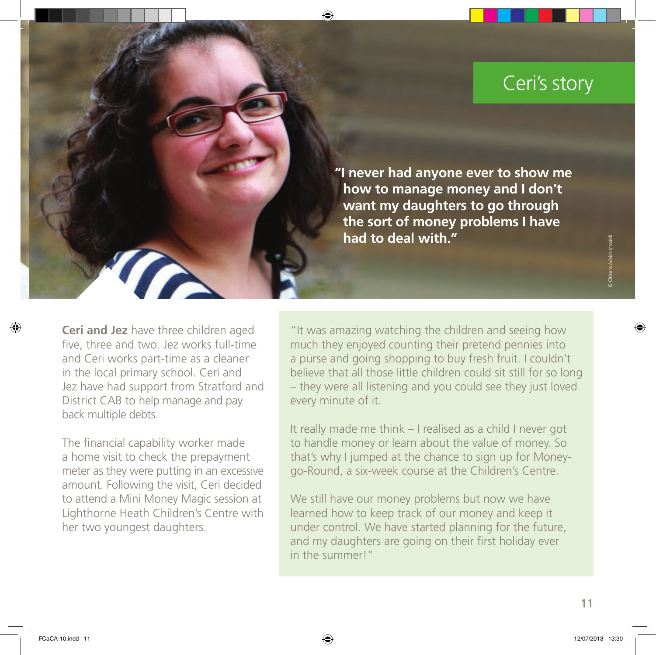## Ceri's story

**"I never had anyone ever to show me how to manage money and I don't want my daughters to go through the sort of money problems I have had to deal with."**

**Ceri and Jez** have three children aged five, three and two. Jez works full-time and Ceri works part-time as a cleaner in the local primary school. Ceri and Jez have had support from Stratford and District CAB to help manage and pay back multiple debts.

The financial capability worker made a home visit to check the prepayment meter as they were putting in an excessive amount. Following the visit, Ceri decided to attend a Mini Money Magic session at Lighthorne Heath Children's Centre with her two youngest daughters.

"It was amazing watching the children and seeing how much they enjoyed counting their pretend pennies into a purse and going shopping to buy fresh fruit. I couldn't believe that all those little children could sit still for so long – they were all listening and you could see they just loved every minute of it.

It really made me think – I realised as a child I never got to handle money or learn about the value of money. So that's why I jumped at the chance to sign up for Moneygo-Round, a six-week course at the Children's Centre.

We still have our money problems but now we have learned how to keep track of our money and keep it under control. We have started planning for the future, and my daughters are going on their first holiday ever in the summer!"